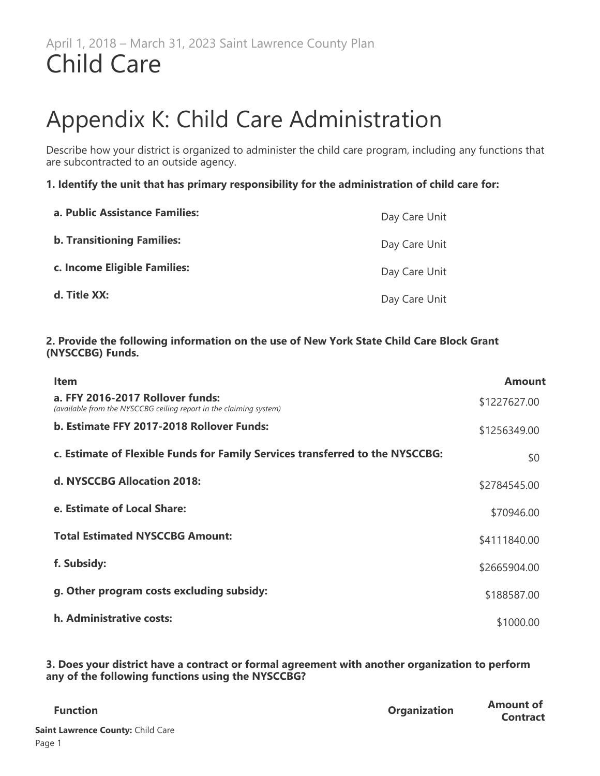# Appendix K: Child Care Administration

Describe how your district is organized to administer the child care program, including any functions that are subcontracted to an outside agency.

**1. Identify the unit that has primary responsibility for the administration of child care for:**

| a. Public Assistance Families:    | Day Care Unit |
|-----------------------------------|---------------|
| <b>b. Transitioning Families:</b> | Day Care Unit |
| c. Income Eligible Families:      | Day Care Unit |
| d. Title XX:                      | Day Care Unit |

#### **2. Provide the following information on the use of New York State Child Care Block Grant (NYSCCBG) Funds.**

| <b>Item</b>                                                                                            | Amount       |
|--------------------------------------------------------------------------------------------------------|--------------|
| a. FFY 2016-2017 Rollover funds:<br>(available from the NYSCCBG ceiling report in the claiming system) | \$1227627.00 |
| b. Estimate FFY 2017-2018 Rollover Funds:                                                              | \$1256349.00 |
| c. Estimate of Flexible Funds for Family Services transferred to the NYSCCBG:                          | \$0          |
| d. NYSCCBG Allocation 2018:                                                                            | \$2784545.00 |
| e. Estimate of Local Share:                                                                            | \$70946.00   |
| <b>Total Estimated NYSCCBG Amount:</b>                                                                 | \$4111840.00 |
| f. Subsidy:                                                                                            | \$2665904.00 |
| g. Other program costs excluding subsidy:                                                              | \$188587.00  |
| h. Administrative costs:                                                                               | \$1000.00    |

#### **3. Does your district have a contract or formal agreement with another organization to perform any of the following functions using the NYSCCBG?**

| <b>Function</b> | <b>Organization</b> | <b>Amount of</b> |
|-----------------|---------------------|------------------|
|                 |                     | <b>Contract</b>  |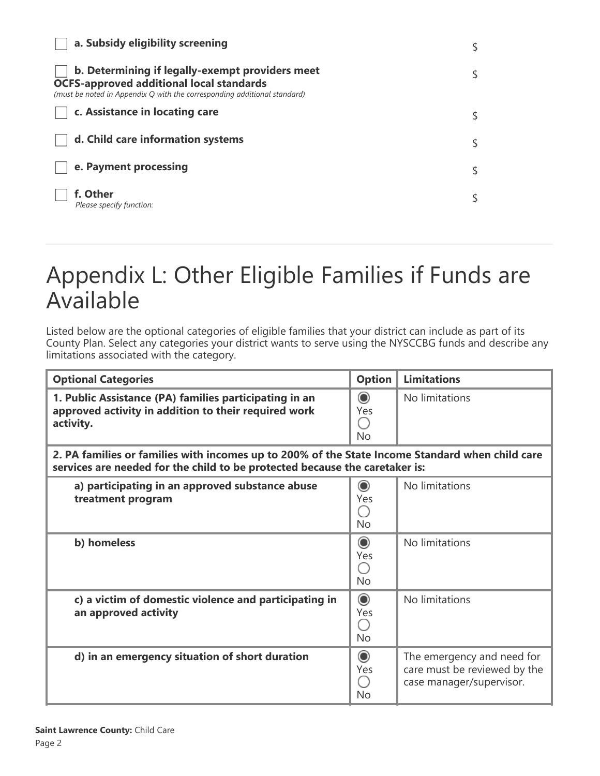| a. Subsidy eligibility screening                                                                                                                                               | \$ |
|--------------------------------------------------------------------------------------------------------------------------------------------------------------------------------|----|
| b. Determining if legally-exempt providers meet<br><b>OCFS-approved additional local standards</b><br>(must be noted in Appendix Q with the corresponding additional standard) | \$ |
| c. Assistance in locating care                                                                                                                                                 | \$ |
| d. Child care information systems                                                                                                                                              | \$ |
| e. Payment processing                                                                                                                                                          | \$ |
| f. Other<br>Please specify function:                                                                                                                                           | \$ |

### Appendix L: Other Eligible Families if Funds are Available

Listed below are the optional categories of eligible families that your district can include as part of its County Plan. Select any categories your district wants to serve using the NYSCCBG funds and describe any limitations associated with the category.

| <b>Optional Categories</b>                                                                                                                                                     | <b>Option</b>                             | <b>Limitations</b>                                                                     |
|--------------------------------------------------------------------------------------------------------------------------------------------------------------------------------|-------------------------------------------|----------------------------------------------------------------------------------------|
| 1. Public Assistance (PA) families participating in an<br>approved activity in addition to their required work<br>activity.                                                    | $\odot$<br>Yes<br>◯<br><b>No</b>          | No limitations                                                                         |
| 2. PA families or families with incomes up to 200% of the State Income Standard when child care<br>services are needed for the child to be protected because the caretaker is: |                                           |                                                                                        |
| a) participating in an approved substance abuse<br>treatment program                                                                                                           | $\odot$<br>Yes<br>∩<br><b>No</b>          | No limitations                                                                         |
| b) homeless                                                                                                                                                                    | $\odot$<br>Yes<br>$\bigcirc$<br><b>No</b> | No limitations                                                                         |
| c) a victim of domestic violence and participating in<br>an approved activity                                                                                                  | $\odot$<br>Yes<br>()<br><b>No</b>         | No limitations                                                                         |
| d) in an emergency situation of short duration                                                                                                                                 | $\odot$<br>Yes<br>○<br><b>No</b>          | The emergency and need for<br>care must be reviewed by the<br>case manager/supervisor. |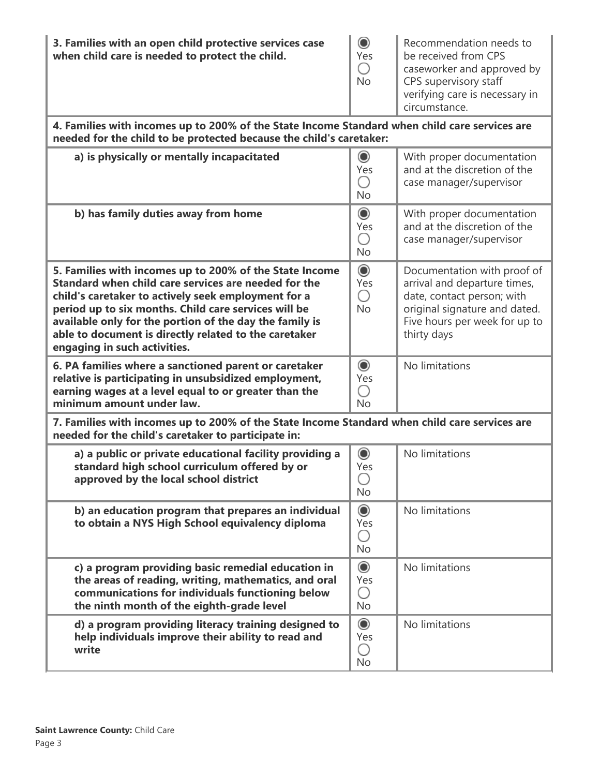| 3. Families with an open child protective services case<br>when child care is needed to protect the child.                                                                                                                                                                                                                                                                         | $\odot$<br>Yes<br>∩<br><b>No</b> | Recommendation needs to<br>be received from CPS<br>caseworker and approved by<br>CPS supervisory staff<br>verifying care is necessary in<br>circumstance.                  |
|------------------------------------------------------------------------------------------------------------------------------------------------------------------------------------------------------------------------------------------------------------------------------------------------------------------------------------------------------------------------------------|----------------------------------|----------------------------------------------------------------------------------------------------------------------------------------------------------------------------|
| 4. Families with incomes up to 200% of the State Income Standard when child care services are<br>needed for the child to be protected because the child's caretaker:                                                                                                                                                                                                               |                                  |                                                                                                                                                                            |
| a) is physically or mentally incapacitated                                                                                                                                                                                                                                                                                                                                         | $\odot$<br>Yes<br>О<br><b>No</b> | With proper documentation<br>and at the discretion of the<br>case manager/supervisor                                                                                       |
| b) has family duties away from home                                                                                                                                                                                                                                                                                                                                                | $\odot$<br>Yes<br>O<br><b>No</b> | With proper documentation<br>and at the discretion of the<br>case manager/supervisor                                                                                       |
| 5. Families with incomes up to 200% of the State Income<br>Standard when child care services are needed for the<br>child's caretaker to actively seek employment for a<br>period up to six months. Child care services will be<br>available only for the portion of the day the family is<br>able to document is directly related to the caretaker<br>engaging in such activities. | $\odot$<br>Yes<br>O<br><b>No</b> | Documentation with proof of<br>arrival and departure times,<br>date, contact person; with<br>original signature and dated.<br>Five hours per week for up to<br>thirty days |
| 6. PA families where a sanctioned parent or caretaker<br>relative is participating in unsubsidized employment,<br>earning wages at a level equal to or greater than the<br>minimum amount under law.                                                                                                                                                                               | $\odot$<br>Yes<br>O<br><b>No</b> | No limitations                                                                                                                                                             |
| 7. Families with incomes up to 200% of the State Income Standard when child care services are<br>needed for the child's caretaker to participate in:                                                                                                                                                                                                                               |                                  |                                                                                                                                                                            |
| a) a public or private educational facility providing a<br>standard high school curriculum offered by or<br>approved by the local school district                                                                                                                                                                                                                                  | $\odot$<br>Yes<br>O<br>No        | No limitations                                                                                                                                                             |
| b) an education program that prepares an individual<br>to obtain a NYS High School equivalency diploma                                                                                                                                                                                                                                                                             | $\odot$<br>Yes<br>O<br>No        | No limitations                                                                                                                                                             |
| c) a program providing basic remedial education in<br>the areas of reading, writing, mathematics, and oral<br>communications for individuals functioning below<br>the ninth month of the eighth-grade level                                                                                                                                                                        | $\odot$<br>Yes<br>O<br>No        | No limitations                                                                                                                                                             |
| d) a program providing literacy training designed to<br>help individuals improve their ability to read and<br>write                                                                                                                                                                                                                                                                | $\odot$<br>Yes<br>O<br>No        | No limitations                                                                                                                                                             |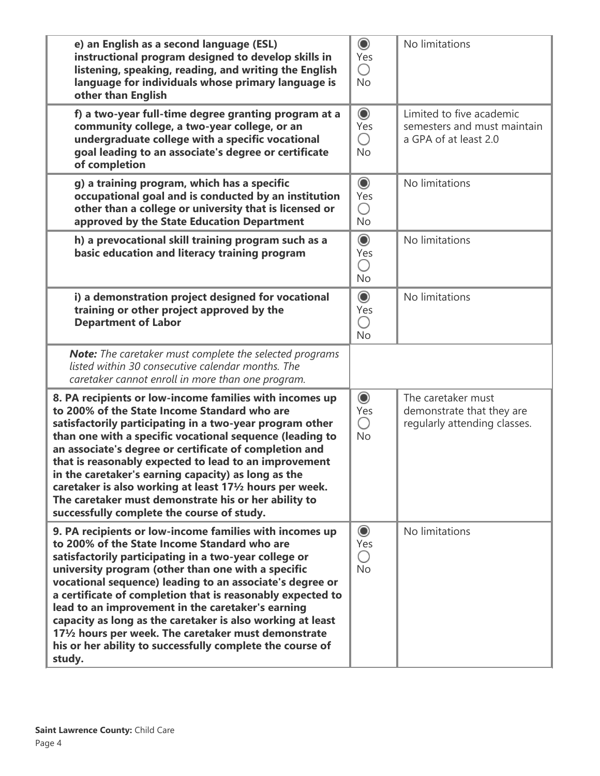| e) an English as a second language (ESL)<br>instructional program designed to develop skills in<br>listening, speaking, reading, and writing the English<br>language for individuals whose primary language is<br>other than English                                                                                                                                                                                                                                                                                                                                                                                        | $\circledcirc$<br>Yes<br>O<br><b>No</b> | No limitations                                                                   |
|-----------------------------------------------------------------------------------------------------------------------------------------------------------------------------------------------------------------------------------------------------------------------------------------------------------------------------------------------------------------------------------------------------------------------------------------------------------------------------------------------------------------------------------------------------------------------------------------------------------------------------|-----------------------------------------|----------------------------------------------------------------------------------|
| f) a two-year full-time degree granting program at a<br>community college, a two-year college, or an<br>undergraduate college with a specific vocational<br>goal leading to an associate's degree or certificate<br>of completion                                                                                                                                                                                                                                                                                                                                                                                           | $\odot$<br>Yes<br>Ο<br><b>No</b>        | Limited to five academic<br>semesters and must maintain<br>a GPA of at least 2.0 |
| g) a training program, which has a specific<br>occupational goal and is conducted by an institution<br>other than a college or university that is licensed or<br>approved by the State Education Department                                                                                                                                                                                                                                                                                                                                                                                                                 | $\circledcirc$<br>Yes<br>O<br><b>No</b> | No limitations                                                                   |
| h) a prevocational skill training program such as a<br>basic education and literacy training program                                                                                                                                                                                                                                                                                                                                                                                                                                                                                                                        | $\odot$<br>Yes<br>O<br><b>No</b>        | No limitations                                                                   |
| i) a demonstration project designed for vocational<br>training or other project approved by the<br><b>Department of Labor</b>                                                                                                                                                                                                                                                                                                                                                                                                                                                                                               | $\odot$<br>Yes<br>O<br><b>No</b>        | No limitations                                                                   |
| <b>Note:</b> The caretaker must complete the selected programs<br>listed within 30 consecutive calendar months. The<br>caretaker cannot enroll in more than one program.                                                                                                                                                                                                                                                                                                                                                                                                                                                    |                                         |                                                                                  |
| 8. PA recipients or low-income families with incomes up<br>to 200% of the State Income Standard who are<br>satisfactorily participating in a two-year program other<br>than one with a specific vocational sequence (leading to<br>an associate's degree or certificate of completion and<br>that is reasonably expected to lead to an improvement<br>in the caretaker's earning capacity) as long as the<br>caretaker is also working at least 17 <sup>1</sup> / <sub>2</sub> hours per week.<br>The caretaker must demonstrate his or her ability to<br>successfully complete the course of study.                        | $\circledcirc$<br>Yes<br>O<br><b>No</b> | The caretaker must<br>demonstrate that they are<br>regularly attending classes.  |
| 9. PA recipients or low-income families with incomes up<br>to 200% of the State Income Standard who are<br>satisfactorily participating in a two-year college or<br>university program (other than one with a specific<br>vocational sequence) leading to an associate's degree or<br>a certificate of completion that is reasonably expected to<br>lead to an improvement in the caretaker's earning<br>capacity as long as the caretaker is also working at least<br>17 <sup>1</sup> / <sub>2</sub> hours per week. The caretaker must demonstrate<br>his or her ability to successfully complete the course of<br>study. | $\circledcirc$<br>Yes<br>O<br><b>No</b> | No limitations                                                                   |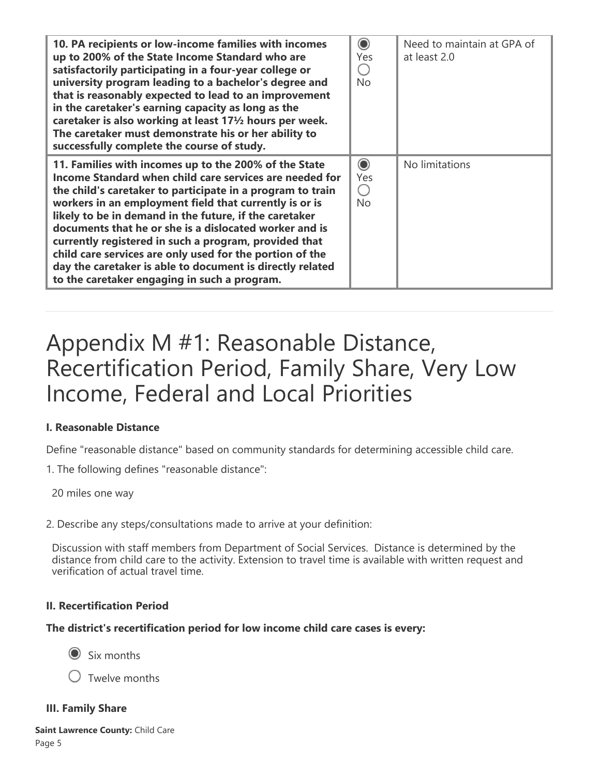| 10. PA recipients or low-income families with incomes<br>up to 200% of the State Income Standard who are<br>satisfactorily participating in a four-year college or<br>university program leading to a bachelor's degree and<br>that is reasonably expected to lead to an improvement<br>in the caretaker's earning capacity as long as the<br>caretaker is also working at least 17 <sup>1</sup> / <sub>2</sub> hours per week.<br>The caretaker must demonstrate his or her ability to<br>successfully complete the course of study.                                                          | $\odot$<br>Yes<br>( )<br><b>No</b>                                         | Need to maintain at GPA of<br>at least 2.0 |
|------------------------------------------------------------------------------------------------------------------------------------------------------------------------------------------------------------------------------------------------------------------------------------------------------------------------------------------------------------------------------------------------------------------------------------------------------------------------------------------------------------------------------------------------------------------------------------------------|----------------------------------------------------------------------------|--------------------------------------------|
| 11. Families with incomes up to the 200% of the State<br>Income Standard when child care services are needed for<br>the child's caretaker to participate in a program to train<br>workers in an employment field that currently is or is<br>likely to be in demand in the future, if the caretaker<br>documents that he or she is a dislocated worker and is<br>currently registered in such a program, provided that<br>child care services are only used for the portion of the<br>day the caretaker is able to document is directly related<br>to the caretaker engaging in such a program. | $\odot$<br>Yes<br>$\left(\begin{array}{c} \end{array}\right)$<br><b>No</b> | No limitations                             |

### Appendix M #1: Reasonable Distance, Recertification Period, Family Share, Very Low Income, Federal and Local Priorities

### **I. Reasonable Distance**

Define "reasonable distance" based on community standards for determining accessible child care.

1. The following defines "reasonable distance":

20 miles one way

2. Describe any steps/consultations made to arrive at your definition:

Discussion with staff members from Department of Social Services. Distance is determined by the distance from child care to the activity. Extension to travel time is available with written request and verification of actual travel time.

### **II. Recertification Period**

### **The district's recertification period for low income child care cases is every:**

Six months

 $\bigcirc$  Twelve months

### **III. Family Share**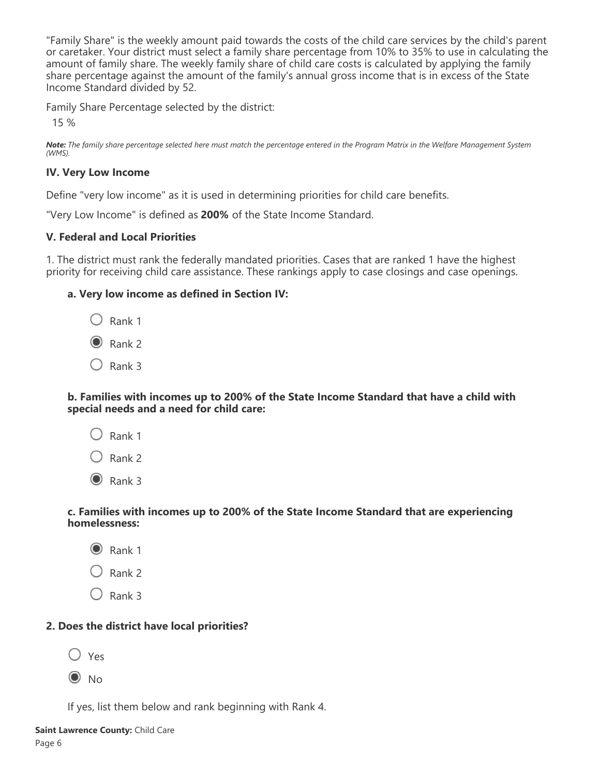"Family Share" is the weekly amount paid towards the costs of the child care services by the child's parent or caretaker. Your district must select a family share percentage from 10% to 35% to use in calculating the amount of family share. The weekly family share of child care costs is calculated by applying the family share percentage against the amount of the family's annual gross income that is in excess of the State Income Standard divided by 52.

Family Share Percentage selected by the district:

15 %

*Note: The family share percentage selected here must match the percentage entered in the Program Matrix in the Welfare Management System (WMS).*

### **IV. Very Low Income**

Define "very low income" as it is used in determining priorities for child care benefits.

"Very Low Income" is defined as **200%** of the State Income Standard.

### **V. Federal and Local Priorities**

1. The district must rank the federally mandated priorities. Cases that are ranked 1 have the highest priority for receiving child care assistance. These rankings apply to case closings and case openings.

**a. Very low income as defined in Section IV:**

| Rank 1 |
|--------|
| Rank 2 |
| Rank 3 |

**b. Families with incomes up to 200% of the State Income Standard that have a child with special needs and a need for child care:**

 $\bigcup$  Rank 1  $\bigcirc$  Rank 2  $\odot$  Rank 3

**c. Families with incomes up to 200% of the State Income Standard that are experiencing homelessness:**

| Rank 1 |
|--------|
| Rank 2 |
| Rank 3 |

### **2. Does the district have local priorities?**

| es |
|----|
|    |

If yes, list them below and rank beginning with Rank 4.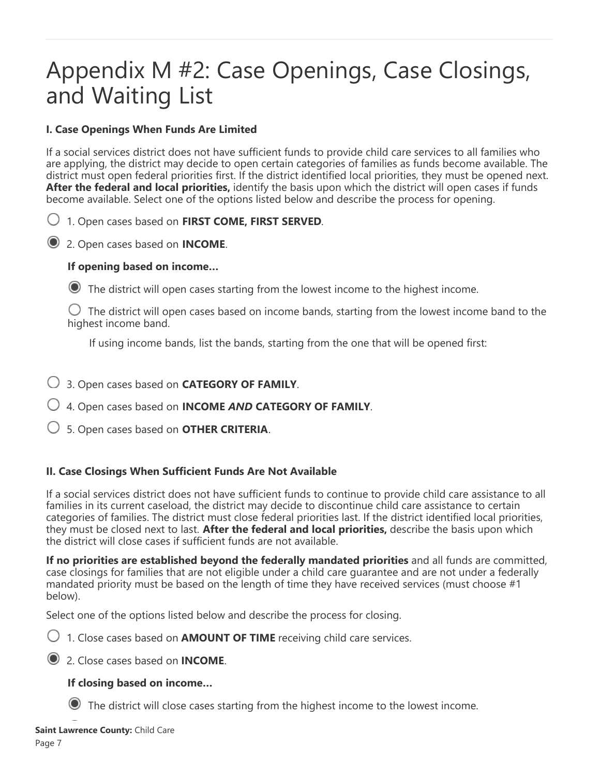## Appendix M #2: Case Openings, Case Closings, and Waiting List

### **I. Case Openings When Funds Are Limited**

If a social services district does not have sufficient funds to provide child care services to all families who are applying, the district may decide to open certain categories of families as funds become available. The district must open federal priorities first. If the district identified local priorities, they must be opened next. **After the federal and local priorities,** identify the basis upon which the district will open cases if funds become available. Select one of the options listed below and describe the process for opening.

1. Open cases based on **FIRST COME, FIRST SERVED**.

2. Open cases based on **INCOME**.

### **If opening based on income…**

The district will open cases starting from the lowest income to the highest income.

 $\bigcirc$  The district will open cases based on income bands, starting from the lowest income band to the highest income band.

If using income bands, list the bands, starting from the one that will be opened first:

3. Open cases based on **CATEGORY OF FAMILY**.

4. Open cases based on **INCOME** *AND* **CATEGORY OF FAMILY**.

5. Open cases based on **OTHER CRITERIA**.

### **II. Case Closings When Sufficient Funds Are Not Available**

If a social services district does not have sufficient funds to continue to provide child care assistance to all families in its current caseload, the district may decide to discontinue child care assistance to certain categories of families. The district must close federal priorities last. If the district identified local priorities, they must be closed next to last. **After the federal and local priorities,** describe the basis upon which the district will close cases if sufficient funds are not available.

**If no priorities are established beyond the federally mandated priorities** and all funds are committed, case closings for families that are not eligible under a child care guarantee and are not under a federally mandated priority must be based on the length of time they have received services (must choose #1 below).

Select one of the options listed below and describe the process for closing.



2. Close cases based on **INCOME**.

### **If closing based on income…**

The district will close cases starting from the highest income to the lowest income.

**Saint Lawrence County:** Child Care

Page 7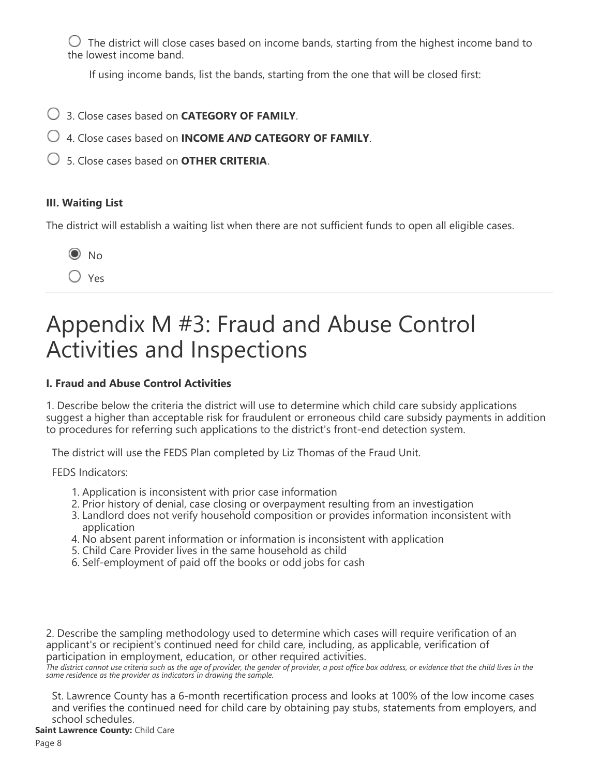$\bigcirc$  The district will close cases based on income bands, starting from the highest income band to the lowest income band.

If using income bands, list the bands, starting from the one that will be closed first:

- 3. Close cases based on **CATEGORY OF FAMILY**.
- 4. Close cases based on **INCOME** *AND* **CATEGORY OF FAMILY**.
- 5. Close cases based on **OTHER CRITERIA**.

### **III. Waiting List**

The district will establish a waiting list when there are not sufficient funds to open all eligible cases.



Yes

### Appendix M #3: Fraud and Abuse Control Activities and Inspections

### **I. Fraud and Abuse Control Activities**

1. Describe below the criteria the district will use to determine which child care subsidy applications suggest a higher than acceptable risk for fraudulent or erroneous child care subsidy payments in addition to procedures for referring such applications to the district's front-end detection system.

The district will use the FEDS Plan completed by Liz Thomas of the Fraud Unit.

FEDS Indicators:

- 1. Application is inconsistent with prior case information
- 2. Prior history of denial, case closing or overpayment resulting from an investigation
- 3. Landlord does not verify household composition or provides information inconsistent with application
- 4. No absent parent information or information is inconsistent with application
- 5. Child Care Provider lives in the same household as child
- 6. Self-employment of paid off the books or odd jobs for cash

2. Describe the sampling methodology used to determine which cases will require verification of an applicant's or recipient's continued need for child care, including, as applicable, verification of participation in employment, education, or other required activities.

*The district cannot use criteria such as the age of provider, the gender of provider, a post office box address, or evidence that the child lives in the same residence as the provider as indicators in drawing the sample.*

St. Lawrence County has a 6-month recertification process and looks at 100% of the low income cases and verifies the continued need for child care by obtaining pay stubs, statements from employers, and school schedules.

**Saint Lawrence County:** Child Care

Page 8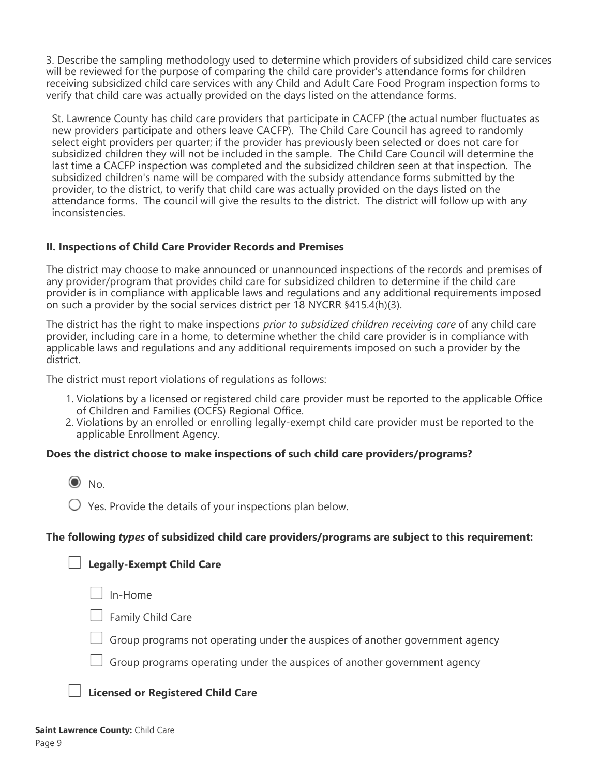3. Describe the sampling methodology used to determine which providers of subsidized child care services will be reviewed for the purpose of comparing the child care provider's attendance forms for children receiving subsidized child care services with any Child and Adult Care Food Program inspection forms to verify that child care was actually provided on the days listed on the attendance forms.

St. Lawrence County has child care providers that participate in CACFP (the actual number fluctuates as new providers participate and others leave CACFP). The Child Care Council has agreed to randomly select eight providers per quarter; if the provider has previously been selected or does not care for subsidized children they will not be included in the sample. The Child Care Council will determine the last time a CACFP inspection was completed and the subsidized children seen at that inspection. The subsidized children's name will be compared with the subsidy attendance forms submitted by the provider, to the district, to verify that child care was actually provided on the days listed on the attendance forms. The council will give the results to the district. The district will follow up with any inconsistencies.

### **II. Inspections of Child Care Provider Records and Premises**

The district may choose to make announced or unannounced inspections of the records and premises of any provider/program that provides child care for subsidized children to determine if the child care provider is in compliance with applicable laws and regulations and any additional requirements imposed on such a provider by the social services district per 18 NYCRR §415.4(h)(3).

The district has the right to make inspections *prior to subsidized children receiving care* of any child care provider, including care in a home, to determine whether the child care provider is in compliance with applicable laws and regulations and any additional requirements imposed on such a provider by the district.

The district must report violations of regulations as follows:

- 1. Violations by a licensed or registered child care provider must be reported to the applicable Office of Children and Families (OCFS) Regional Office.
- 2. Violations by an enrolled or enrolling legally-exempt child care provider must be reported to the applicable Enrollment Agency.

### **Does the district choose to make inspections of such child care providers/programs?**

 $\odot$  No.

 $\bigcirc$  Yes. Provide the details of your inspections plan below.

### **The following** *types* **of subsidized child care providers/programs are subject to this requirement:**

|  | $\perp$ Legally-Exempt Child Care |  |
|--|-----------------------------------|--|
|  |                                   |  |

 $\Box$  In-Home

Family Child Care



 $\Box$  Group programs not operating under the auspices of another government agency

Group programs operating under the auspices of another government agency

 **Licensed or Registered Child Care**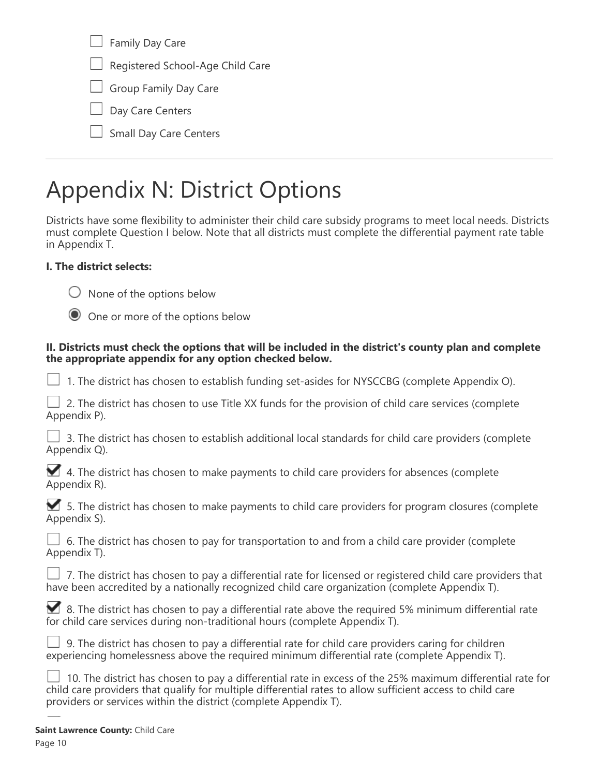| <b>Family Day Care</b> |  |
|------------------------|--|
|------------------------|--|

Registered School-Age Child Care

Group Family Day Care

Day Care Centers

Small Day Care Centers

# Appendix N: District Options

Districts have some flexibility to administer their child care subsidy programs to meet local needs. Districts must complete Question I below. Note that all districts must complete the differential payment rate table in Appendix T.

### **I. The district selects:**

 $\bigcirc$  None of the options below

### **II. Districts must check the options that will be included in the district's county plan and complete the appropriate appendix for any option checked below.**

1. The district has chosen to establish funding set-asides for NYSCCBG (complete Appendix O).

 2. The district has chosen to use Title XX funds for the provision of child care services (complete Appendix P).

|  |              |  |  |  |  |  |  | $\Box$ 3. The district has chosen to establish additional local standards for child care providers (complete |  |  |
|--|--------------|--|--|--|--|--|--|--------------------------------------------------------------------------------------------------------------|--|--|
|  | Appendix Q). |  |  |  |  |  |  |                                                                                                              |  |  |

|  |              |  |  |  |  |  | 4. The district has chosen to make payments to child care providers for absences (complete |  |
|--|--------------|--|--|--|--|--|--------------------------------------------------------------------------------------------|--|
|  | Appendix R). |  |  |  |  |  |                                                                                            |  |

|  |              |  |  |  |  |  |  | 5. The district has chosen to make payments to child care providers for program closures (complete |  |  |
|--|--------------|--|--|--|--|--|--|----------------------------------------------------------------------------------------------------|--|--|
|  | Appendix S). |  |  |  |  |  |  |                                                                                                    |  |  |

|              |  |  |  | $\Box$ 6. The district has chosen to pay for transportation to and from a child care provider (complete |  |
|--------------|--|--|--|---------------------------------------------------------------------------------------------------------|--|
| Appendix T). |  |  |  |                                                                                                         |  |

|  |  | $\Box$ 7. The district has chosen to pay a differential rate for licensed or registered child care providers that |  |  |
|--|--|-------------------------------------------------------------------------------------------------------------------|--|--|
|  |  | have been accredited by a nationally recognized child care organization (complete Appendix T).                    |  |  |

|  |  |  |                                                                             |  |  |  | 8. The district has chosen to pay a differential rate above the required 5% minimum differential rate |  |
|--|--|--|-----------------------------------------------------------------------------|--|--|--|-------------------------------------------------------------------------------------------------------|--|
|  |  |  | for child care services during non-traditional hours (complete Appendix T). |  |  |  |                                                                                                       |  |

|  |  |  | $\Box$ 9. The district has chosen to pay a differential rate for child care providers caring for children |  |  |
|--|--|--|-----------------------------------------------------------------------------------------------------------|--|--|
|  |  |  | experiencing homelessness above the required minimum differential rate (complete Appendix T).             |  |  |

|  | $\Box$ 10. The district has chosen to pay a differential rate in excess of the 25% maximum differential rate for |
|--|------------------------------------------------------------------------------------------------------------------|
|  | child care providers that qualify for multiple differential rates to allow sufficient access to child care       |
|  | providers or services within the district (complete Appendix T).                                                 |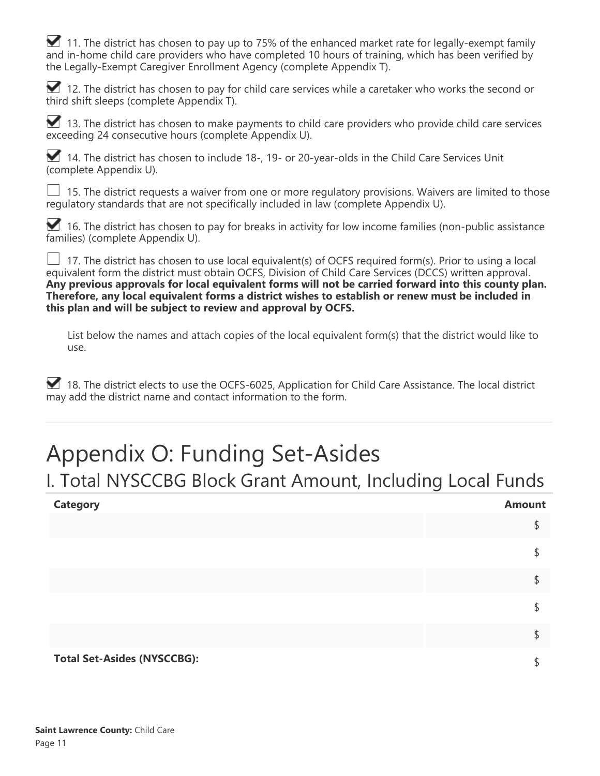11. The district has chosen to pay up to 75% of the enhanced market rate for legally-exempt family and in-home child care providers who have completed 10 hours of training, which has been verified by the Legally-Exempt Caregiver Enrollment Agency (complete Appendix T).

12. The district has chosen to pay for child care services while a caretaker who works the second or third shift sleeps (complete Appendix T).

 $\blacksquare$  13. The district has chosen to make payments to child care providers who provide child care services exceeding 24 consecutive hours (complete Appendix U).

14. The district has chosen to include 18-, 19- or 20-year-olds in the Child Care Services Unit (complete Appendix U).

 15. The district requests a waiver from one or more regulatory provisions. Waivers are limited to those regulatory standards that are not specifically included in law (complete Appendix U).

16. The district has chosen to pay for breaks in activity for low income families (non-public assistance families) (complete Appendix U).

 $\Box$  17. The district has chosen to use local equivalent(s) of OCFS required form(s). Prior to using a local equivalent form the district must obtain OCFS, Division of Child Care Services (DCCS) written approval. **Any previous approvals for local equivalent forms will not be carried forward into this county plan. Therefore, any local equivalent forms a district wishes to establish or renew must be included in this plan and will be subject to review and approval by OCFS.**

List below the names and attach copies of the local equivalent form(s) that the district would like to use.

18. The district elects to use the OCFS-6025, Application for Child Care Assistance. The local district may add the district name and contact information to the form.

# Appendix O: Funding Set-Asides

### I. Total NYSCCBG Block Grant Amount, Including Local Funds

| <b>Category</b>                    | <b>Amount</b> |
|------------------------------------|---------------|
|                                    |               |
|                                    |               |
|                                    |               |
|                                    |               |
|                                    |               |
| <b>Total Set-Asides (NYSCCBG):</b> |               |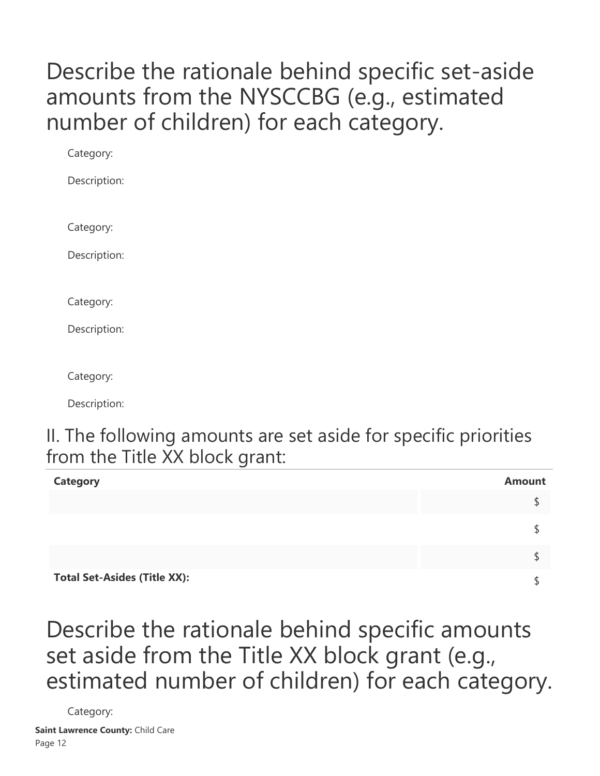### Describe the rationale behind specific set-aside amounts from the NYSCCBG (e.g., estimated number of children) for each category.

Category:

Description:

Category:

Description:

Category:

Description:

Category:

Description:

II. The following amounts are set aside for specific priorities from the Title XX block grant:

| <b>Category</b>                     | <b>Amount</b> |
|-------------------------------------|---------------|
|                                     |               |
|                                     |               |
|                                     |               |
| <b>Total Set-Asides (Title XX):</b> |               |

Describe the rationale behind specific amounts set aside from the Title XX block grant (e.g., estimated number of children) for each category.

Category: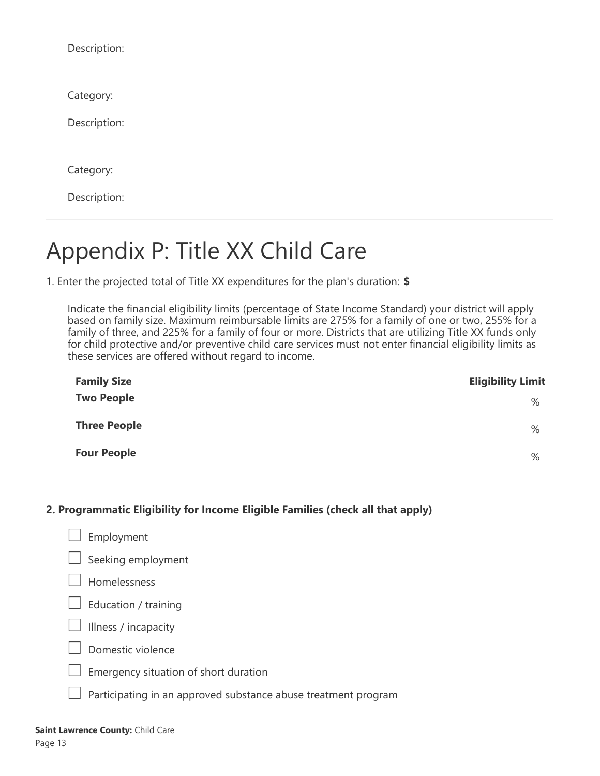Description:

Category:

Description:

Category:

Description:

# Appendix P: Title XX Child Care

1. Enter the projected total of Title XX expenditures for the plan's duration: **\$**

Indicate the financial eligibility limits (percentage of State Income Standard) your district will apply based on family size. Maximum reimbursable limits are 275% for a family of one or two, 255% for a family of three, and 225% for a family of four or more. Districts that are utilizing Title XX funds only for child protective and/or preventive child care services must not enter financial eligibility limits as these services are offered without regard to income.

| <b>Family Size</b>  | <b>Eligibility Limit</b> |
|---------------------|--------------------------|
| <b>Two People</b>   | %                        |
| <b>Three People</b> | %                        |
| <b>Four People</b>  | %                        |

### **2. Programmatic Eligibility for Income Eligible Families (check all that apply)**

- Employment
- Seeking employment
- Homelessness
- Education / training
- Illness / incapacity
- Domestic violence
- Emergency situation of short duration
- Participating in an approved substance abuse treatment program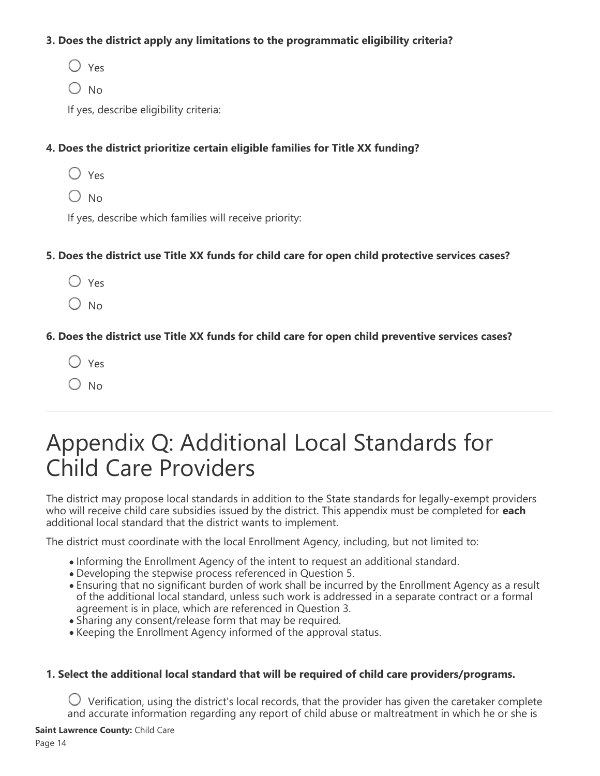### **3. Does the district apply any limitations to the programmatic eligibility criteria?**

 $\bigcap$  Yes

 $O$  No

If yes, describe eligibility criteria:

### **4. Does the district prioritize certain eligible families for Title XX funding?**

- $\bigcirc$  Yes
- $\bigcirc$  No

If yes, describe which families will receive priority:

### **5. Does the district use Title XX funds for child care for open child protective services cases?**

- $\bigcap$  Yes
- $\bigcap$  No

### **6. Does the district use Title XX funds for child care for open child preventive services cases?**

- $\bigcirc$  Yes
- $\bigcirc$  No

### Appendix Q: Additional Local Standards for Child Care Providers

The district may propose local standards in addition to the State standards for legally-exempt providers who will receive child care subsidies issued by the district. This appendix must be completed for **each** additional local standard that the district wants to implement.

The district must coordinate with the local Enrollment Agency, including, but not limited to:

- Informing the Enrollment Agency of the intent to request an additional standard.
- Developing the stepwise process referenced in Question 5.
- Ensuring that no significant burden of work shall be incurred by the Enrollment Agency as a result of the additional local standard, unless such work is addressed in a separate contract or a formal agreement is in place, which are referenced in Question 3.
- Sharing any consent/release form that may be required.
- Keeping the Enrollment Agency informed of the approval status.

### **1. Select the additional local standard that will be required of child care providers/programs.**

 $\bigcirc$  Verification, using the district's local records, that the provider has given the caretaker complete and accurate information regarding any report of child abuse or maltreatment in which he or she is

**Saint Lawrence County:** Child Care

Page 14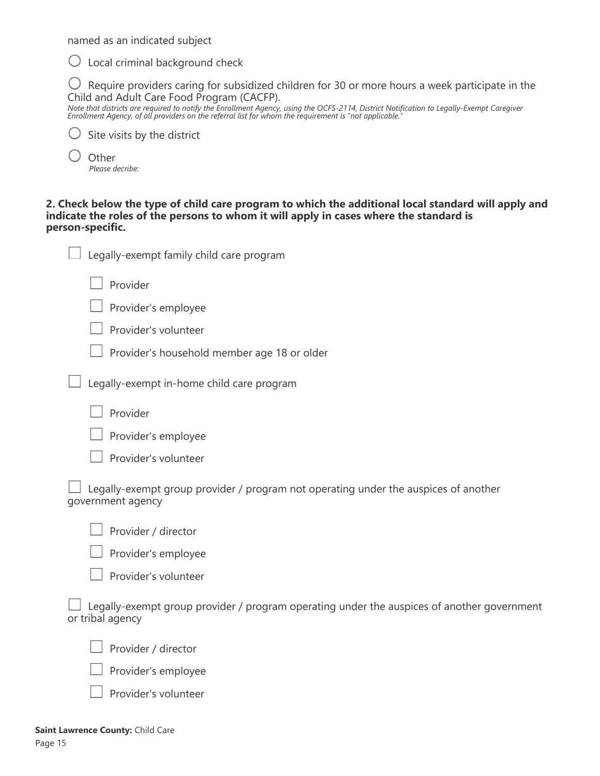named as an indicated subject



 $\bigcirc$  Local criminal background check

 $\bigcirc$  Require providers caring for subsidized children for 30 or more hours a week participate in the Child and Adult Care Food Program (CACFP).

*Note that districts are required to notify the Enrollment Agency, using the OCFS-2114, District Notification to Legally-Exempt Caregiver Enrollment Agency, of all providers on the referral list for whom the requirement is "not applicable."*



 $\left(\begin{array}{c} \end{array}\right)$ **Other** *Please decribe:*

#### **2. Check below the type of child care program to which the additional local standard will apply and indicate the roles of the persons to whom it will apply in cases where the standard is person-specific.**

| Legally-exempt family child care program                                                                       |
|----------------------------------------------------------------------------------------------------------------|
| Provider                                                                                                       |
| Provider's employee                                                                                            |
| Provider's volunteer                                                                                           |
| Provider's household member age 18 or older                                                                    |
| Legally-exempt in-home child care program                                                                      |
| Provider                                                                                                       |
| Provider's employee                                                                                            |
| Provider's volunteer                                                                                           |
| Legally-exempt group provider / program not operating under the auspices of another<br>government agency       |
| Provider / director                                                                                            |
| Provider's employee                                                                                            |
| Provider's volunteer                                                                                           |
| Legally-exempt group provider / program operating under the auspices of another government<br>or tribal agency |
| Provider / director                                                                                            |



Provider's employee

Provider's volunteer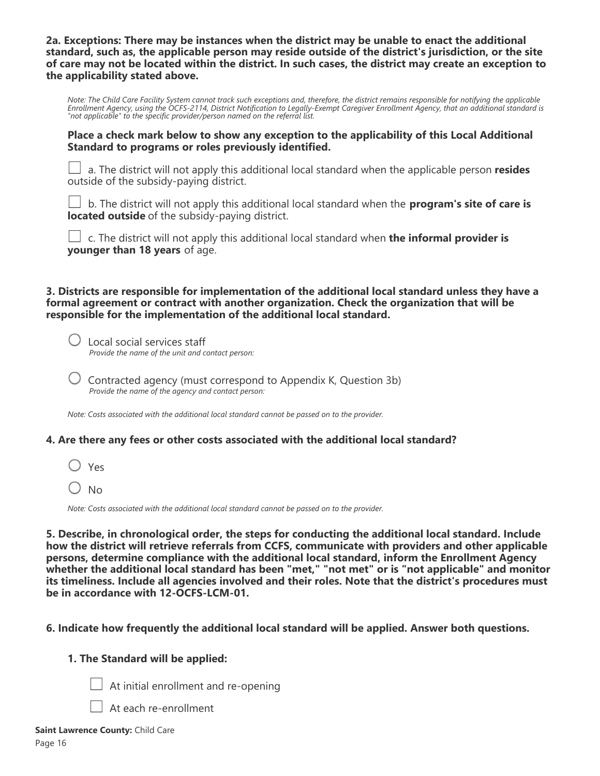**2a. Exceptions: There may be instances when the district may be unable to enact the additional standard, such as, the applicable person may reside outside of the district's jurisdiction, or the site of care may not be located within the district. In such cases, the district may create an exception to the applicability stated above.**

| Note: The Child Care Facility System cannot track such exceptions and, therefore, the district remains responsible for notifying the applicable |
|-------------------------------------------------------------------------------------------------------------------------------------------------|
| Enrollment Agency, using the OCFS-2114, District Notification to Legally-Exempt Caregiver Enrollment Agency, that an additional standard is     |
| "not applicable" to the specific provider/person named on the referral list.                                                                    |

**Place a check mark below to show any exception to the applicability of this Local Additional Standard to programs or roles previously identified.**

|  |                                         |  |  |  |  | $\Box$ a. The district will not apply this additional local standard when the applicable person resides |  |
|--|-----------------------------------------|--|--|--|--|---------------------------------------------------------------------------------------------------------|--|
|  | outside of the subsidy-paying district. |  |  |  |  |                                                                                                         |  |

 b. The district will not apply this additional local standard when the **program's site of care is located outside** of the subsidy-paying district.

 $\Box$  c. The district will not apply this additional local standard when **the informal provider is younger than 18 years** of age.

**3. Districts are responsible for implementation of the additional local standard unless they have a formal agreement or contract with another organization. Check the organization that will be responsible for the implementation of the additional local standard.**

 $\bigcirc$  Local social services staff

*Provide the name of the unit and contact person:*

 $\bigcirc$  Contracted agency (must correspond to Appendix K, Question 3b) *Provide the name of the agency and contact person:*

*Note: Costs associated with the additional local standard cannot be passed on to the provider.*

#### **4. Are there any fees or other costs associated with the additional local standard?**

 $\bigcirc$  Yes

 $\bigcirc$  No

*Note: Costs associated with the additional local standard cannot be passed on to the provider.*

**5. Describe, in chronological order, the steps for conducting the additional local standard. Include how the district will retrieve referrals from CCFS, communicate with providers and other applicable persons, determine compliance with the additional local standard, inform the Enrollment Agency whether the additional local standard has been "met," "not met" or is "not applicable" and monitor its timeliness. Include all agencies involved and their roles. Note that the district's procedures must be in accordance with 12-OCFS-LCM-01.**

**6. Indicate how frequently the additional local standard will be applied. Answer both questions.**

#### **1. The Standard will be applied:**

At initial enrollment and re-opening

 $\perp$  At each re-enrollment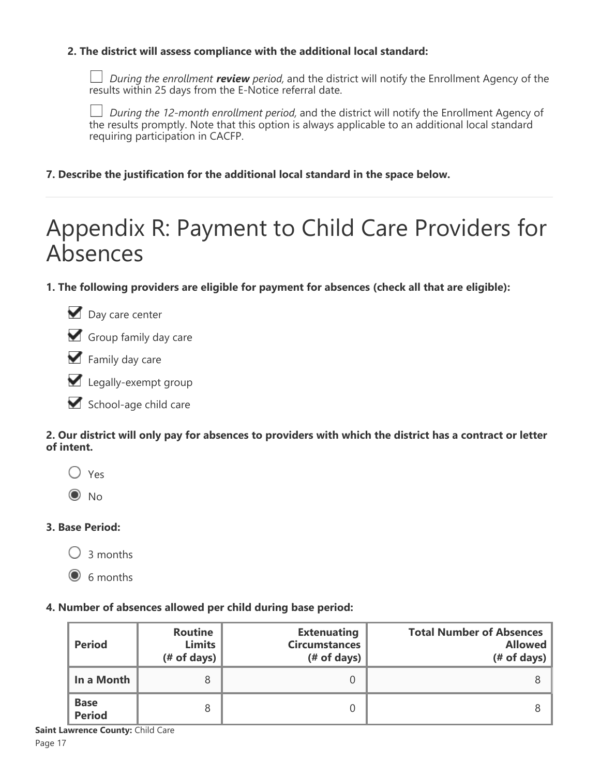### **2. The district will assess compliance with the additional local standard:**

*During the enrollment review period,* and the district will notify the Enrollment Agency of the results within 25 days from the E-Notice referral date.

*During the 12-month enrollment period,* and the district will notify the Enrollment Agency of the results promptly. Note that this option is always applicable to an additional local standard requiring participation in CACFP.

### **7. Describe the justification for the additional local standard in the space below.**

### Appendix R: Payment to Child Care Providers for Absences

### **1. The following providers are eligible for payment for absences (check all that are eligible):**



Group family day care



Legally-exempt group

School-age child care

### **2. Our district will only pay for absences to providers with which the district has a contract or letter of intent.**

- Yes
- $\odot$  No

### **3. Base Period:**

 $\bigcap$  3 months

 $\odot$  6 months

### **4. Number of absences allowed per child during base period:**

| <b>Period</b>                | <b>Routine</b><br><b>Limits</b><br>$#$ of days) | <b>Extenuating</b><br><b>Circumstances</b><br>$#$ of days) | <b>Total Number of Absences</b><br><b>Allowed</b><br>$#$ of days) |
|------------------------------|-------------------------------------------------|------------------------------------------------------------|-------------------------------------------------------------------|
| In a Month                   | 8                                               |                                                            |                                                                   |
| <b>Base</b><br><b>Period</b> | 8                                               |                                                            |                                                                   |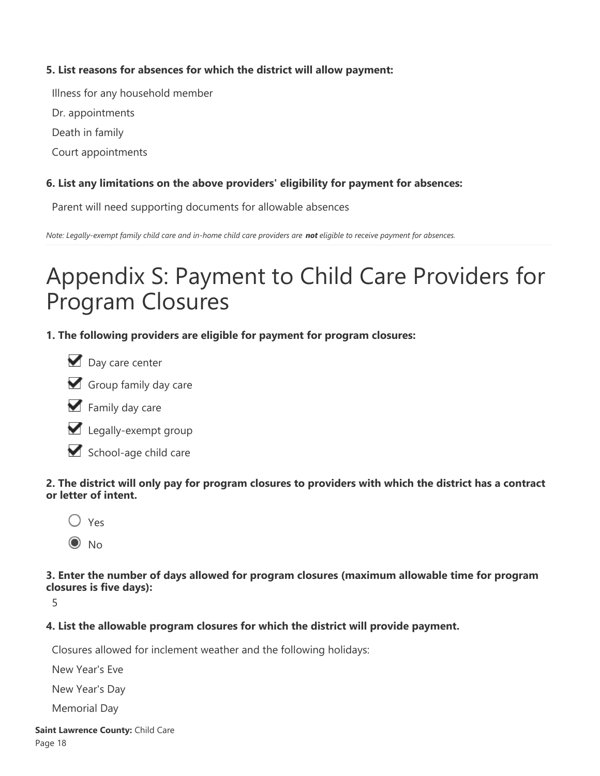### **5. List reasons for absences for which the district will allow payment:**

Illness for any household member Dr. appointments Death in family Court appointments

### **6. List any limitations on the above providers' eligibility for payment for absences:**

Parent will need supporting documents for allowable absences

*Note: Legally-exempt family child care and in-home child care providers are not eligible to receive payment for absences.*

### Appendix S: Payment to Child Care Providers for Program Closures

**1. The following providers are eligible for payment for program closures:**





- Family day care
- Legally-exempt group
- School-age child care

**2. The district will only pay for program closures to providers with which the district has a contract or letter of intent.**

 Yes  $\odot$  No

**3. Enter the number of days allowed for program closures (maximum allowable time for program closures is five days):**

5

### **4. List the allowable program closures for which the district will provide payment.**

Closures allowed for inclement weather and the following holidays:

New Year's Eve

New Year's Day

Memorial Day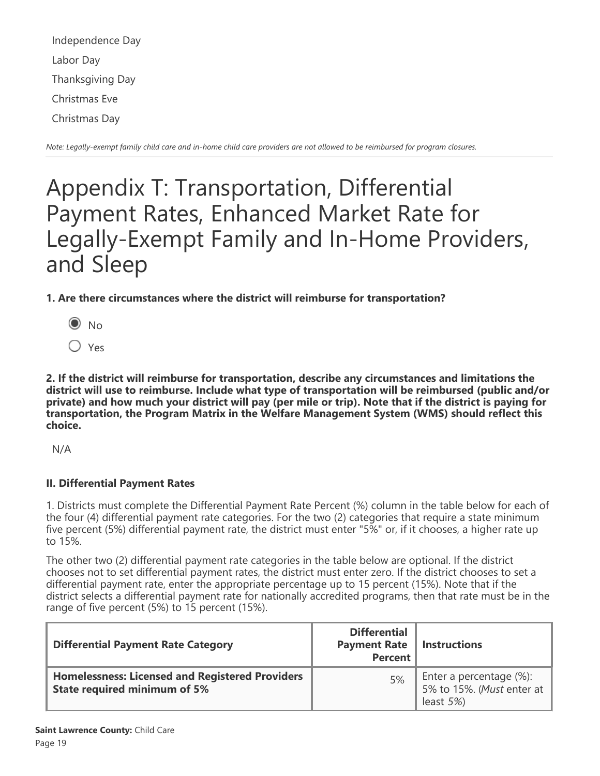Independence Day Labor Day Thanksgiving Day Christmas Eve Christmas Day

*Note: Legally-exempt family child care and in-home child care providers are not allowed to be reimbursed for program closures.*

### Appendix T: Transportation, Differential Payment Rates, Enhanced Market Rate for Legally-Exempt Family and In-Home Providers, and Sleep

### **1. Are there circumstances where the district will reimburse for transportation?**



**2. If the district will reimburse for transportation, describe any circumstances and limitations the district will use to reimburse. Include what type of transportation will be reimbursed (public and/or private) and how much your district will pay (per mile or trip). Note that if the district is paying for transportation, the Program Matrix in the Welfare Management System (WMS) should reflect this choice.**

N/A

### **II. Differential Payment Rates**

1. Districts must complete the Differential Payment Rate Percent (%) column in the table below for each of the four (4) differential payment rate categories. For the two (2) categories that require a state minimum five percent (5%) differential payment rate, the district must enter "5%" or, if it chooses, a higher rate up to 15%.

The other two (2) differential payment rate categories in the table below are optional. If the district chooses not to set differential payment rates, the district must enter zero. If the district chooses to set a differential payment rate, enter the appropriate percentage up to 15 percent (15%). Note that if the district selects a differential payment rate for nationally accredited programs, then that rate must be in the range of five percent (5%) to 15 percent (15%).

| <b>Differential Payment Rate Category</b>                                                     | <b>Differential</b><br><b>Payment Rate</b><br><b>Percent</b> | <b>Instructions</b>                                                   |
|-----------------------------------------------------------------------------------------------|--------------------------------------------------------------|-----------------------------------------------------------------------|
| <b>Homelessness: Licensed and Registered Providers</b><br><b>State required minimum of 5%</b> | 5%                                                           | Enter a percentage (%):<br>5% to 15%. (Must enter at<br>least $5\%$ ) |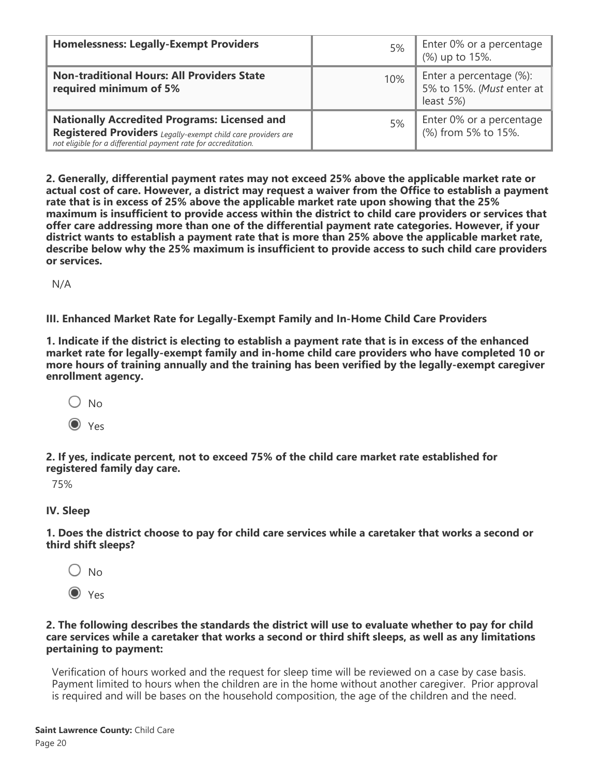| <b>Homelessness: Legally-Exempt Providers</b>                                                                                                                                          | 5%  | Enter 0% or a percentage<br>(%) up to 15%.                                    |
|----------------------------------------------------------------------------------------------------------------------------------------------------------------------------------------|-----|-------------------------------------------------------------------------------|
| <b>Non-traditional Hours: All Providers State</b><br>required minimum of 5%                                                                                                            | 10% | Enter a percentage (%):<br>5% to 15%. (Must enter at $\vert$<br>least $5\%$ ) |
| <b>Nationally Accredited Programs: Licensed and</b><br>Registered Providers Legally-exempt child care providers are<br>not eligible for a differential payment rate for accreditation. | 5%  | Enter 0% or a percentage<br>(%) from 5% to 15%.                               |

**2. Generally, differential payment rates may not exceed 25% above the applicable market rate or actual cost of care. However, a district may request a waiver from the Office to establish a payment rate that is in excess of 25% above the applicable market rate upon showing that the 25% maximum is insufficient to provide access within the district to child care providers or services that offer care addressing more than one of the differential payment rate categories. However, if your district wants to establish a payment rate that is more than 25% above the applicable market rate, describe below why the 25% maximum is insufficient to provide access to such child care providers or services.**

N/A

**III. Enhanced Market Rate for Legally-Exempt Family and In-Home Child Care Providers**

**1. Indicate if the district is electing to establish a payment rate that is in excess of the enhanced market rate for legally-exempt family and in-home child care providers who have completed 10 or more hours of training annually and the training has been verified by the legally-exempt caregiver enrollment agency.**

 $\bigcirc$  No  $\odot$  Yes

**2. If yes, indicate percent, not to exceed 75% of the child care market rate established for registered family day care.**

75%

### **IV. Sleep**

**1. Does the district choose to pay for child care services while a caretaker that works a second or third shift sleeps?**

 $\bigcirc$  No O Yes

#### **2. The following describes the standards the district will use to evaluate whether to pay for child care services while a caretaker that works a second or third shift sleeps, as well as any limitations pertaining to payment:**

Verification of hours worked and the request for sleep time will be reviewed on a case by case basis. Payment limited to hours when the children are in the home without another caregiver. Prior approval is required and will be bases on the household composition, the age of the children and the need.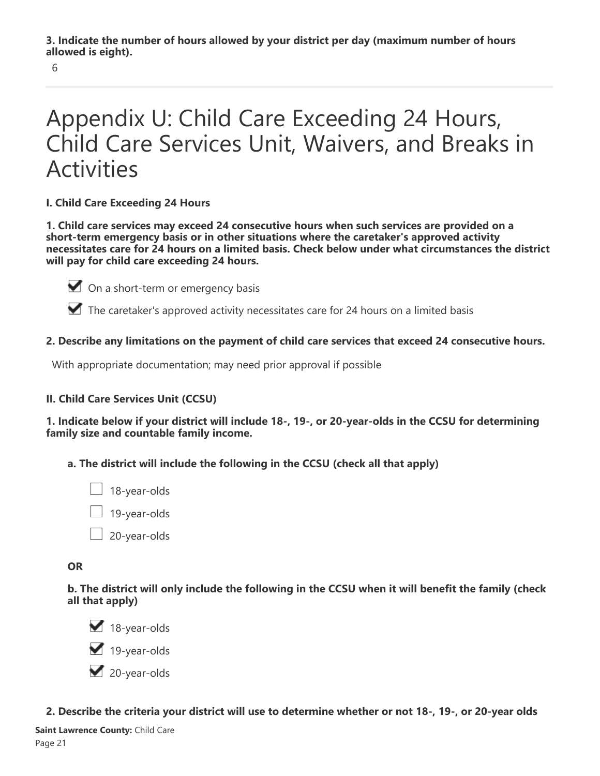**3. Indicate the number of hours allowed by your district per day (maximum number of hours allowed is eight).**

6

### Appendix U: Child Care Exceeding 24 Hours, Child Care Services Unit, Waivers, and Breaks in Activities

### **I. Child Care Exceeding 24 Hours**

**1. Child care services may exceed 24 consecutive hours when such services are provided on a short-term emergency basis or in other situations where the caretaker's approved activity necessitates care for 24 hours on a limited basis. Check below under what circumstances the district will pay for child care exceeding 24 hours.**

 $\blacksquare$  On a short-term or emergency basis

 $\blacktriangleright$  The caretaker's approved activity necessitates care for 24 hours on a limited basis

### **2. Describe any limitations on the payment of child care services that exceed 24 consecutive hours.**

With appropriate documentation; may need prior approval if possible

### **II. Child Care Services Unit (CCSU)**

**1. Indicate below if your district will include 18-, 19-, or 20-year-olds in the CCSU for determining family size and countable family income.**

**a. The district will include the following in the CCSU (check all that apply)**

 $\Box$  18-year-olds 19-year-olds

 $\Box$  20-year-olds

**OR**

**b. The district will only include the following in the CCSU when it will benefit the family (check all that apply)**

18-year-olds  $19$ -year-olds

20-year-olds

### **2. Describe the criteria your district will use to determine whether or not 18-, 19-, or 20-year olds**